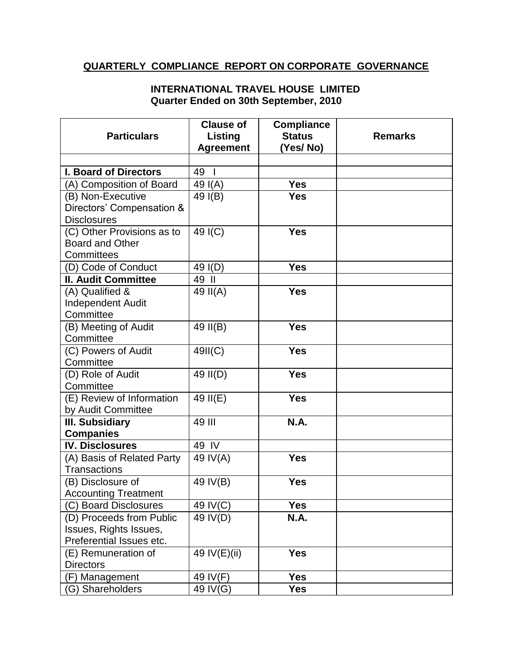## **QUARTERLY COMPLIANCE REPORT ON CORPORATE GOVERNANCE**

## **INTERNATIONAL TRAVEL HOUSE LIMITED Quarter Ended on 30th September, 2010**

| <b>Particulars</b>                                   | <b>Clause of</b><br>Listing<br><b>Agreement</b> | <b>Compliance</b><br><b>Status</b><br>(Yes/No) | <b>Remarks</b> |
|------------------------------------------------------|-------------------------------------------------|------------------------------------------------|----------------|
|                                                      |                                                 |                                                |                |
| <b>I. Board of Directors</b>                         | 49<br>$\mathbf{I}$                              |                                                |                |
| (A) Composition of Board                             | 49 $I(A)$                                       | <b>Yes</b>                                     |                |
| (B) Non-Executive                                    | 49 I(B)                                         | <b>Yes</b>                                     |                |
| Directors' Compensation &                            |                                                 |                                                |                |
| <b>Disclosures</b>                                   |                                                 |                                                |                |
| (C) Other Provisions as to                           | 49 I(C)                                         | <b>Yes</b>                                     |                |
| Board and Other                                      |                                                 |                                                |                |
| Committees                                           |                                                 |                                                |                |
| (D) Code of Conduct<br><b>II. Audit Committee</b>    | 49 I(D)<br>49 II                                | <b>Yes</b>                                     |                |
| (A) Qualified &                                      | 49 II(A)                                        | <b>Yes</b>                                     |                |
| <b>Independent Audit</b>                             |                                                 |                                                |                |
| Committee                                            |                                                 |                                                |                |
| (B) Meeting of Audit                                 | 49 II(B)                                        | <b>Yes</b>                                     |                |
| Committee                                            |                                                 |                                                |                |
| (C) Powers of Audit                                  | 49II(C)                                         | <b>Yes</b>                                     |                |
| Committee                                            |                                                 |                                                |                |
| (D) Role of Audit                                    | 49 II(D)                                        | <b>Yes</b>                                     |                |
| Committee                                            |                                                 |                                                |                |
| (E) Review of Information                            | 49 II(E)                                        | <b>Yes</b>                                     |                |
| by Audit Committee                                   |                                                 |                                                |                |
| III. Subsidiary                                      | 49 III                                          | <b>N.A.</b>                                    |                |
| <b>Companies</b>                                     |                                                 |                                                |                |
| <b>IV. Disclosures</b>                               | 49 IV                                           |                                                |                |
| (A) Basis of Related Party                           | 49 IV(A)                                        | <b>Yes</b>                                     |                |
| <b>Transactions</b>                                  |                                                 |                                                |                |
| (B) Disclosure of                                    | 49 IV(B)                                        | <b>Yes</b>                                     |                |
| <b>Accounting Treatment</b><br>(C) Board Disclosures | 49 IV(C)                                        | <b>Yes</b>                                     |                |
| (D) Proceeds from Public                             | 49 IV(D)                                        | N.A.                                           |                |
| Issues, Rights Issues,                               |                                                 |                                                |                |
| Preferential Issues etc.                             |                                                 |                                                |                |
| (E) Remuneration of                                  | 49 IV(E)(ii)                                    | <b>Yes</b>                                     |                |
| <b>Directors</b>                                     |                                                 |                                                |                |
| (F) Management                                       | 49 IV(F)                                        | <b>Yes</b>                                     |                |
| (G) Shareholders                                     | 49 IV(G)                                        | <b>Yes</b>                                     |                |